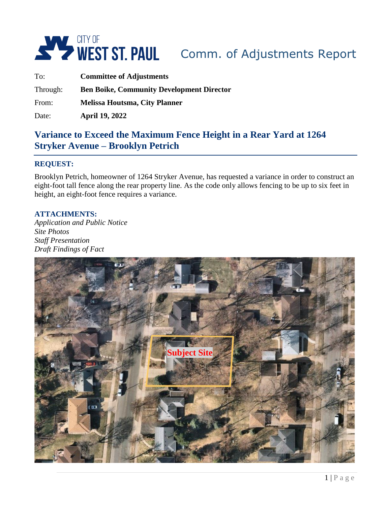

| To:      | <b>Committee of Adjustments</b>                  |  |
|----------|--------------------------------------------------|--|
| Through: | <b>Ben Boike, Community Development Director</b> |  |
| From:    | <b>Melissa Houtsma, City Planner</b>             |  |
| Date:    | <b>April 19, 2022</b>                            |  |

# **Variance to Exceed the Maximum Fence Height in a Rear Yard at 1264 Stryker Avenue – Brooklyn Petrich**

#### **REQUEST:**

Brooklyn Petrich, homeowner of 1264 Stryker Avenue, has requested a variance in order to construct an eight-foot tall fence along the rear property line. As the code only allows fencing to be up to six feet in height, an eight-foot fence requires a variance.

#### **ATTACHMENTS:**

*Application and Public Notice Site Photos Staff Presentation Draft Findings of Fact*

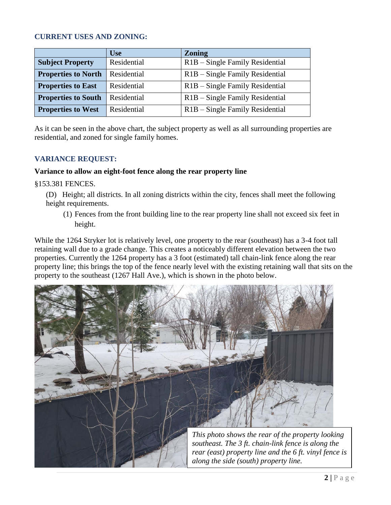#### **CURRENT USES AND ZONING:**

|                            | <b>Use</b>  | <b>Zoning</b>                                |
|----------------------------|-------------|----------------------------------------------|
| <b>Subject Property</b>    | Residential | R <sub>1</sub> B – Single Family Residential |
| <b>Properties to North</b> | Residential | R <sub>1</sub> B – Single Family Residential |
| <b>Properties to East</b>  | Residential | R <sub>1</sub> B – Single Family Residential |
| <b>Properties to South</b> | Residential | R <sub>1</sub> B – Single Family Residential |
| <b>Properties to West</b>  | Residential | R <sub>1</sub> B – Single Family Residential |

As it can be seen in the above chart, the subject property as well as all surrounding properties are residential, and zoned for single family homes.

#### **VARIANCE REQUEST:**

#### **Variance to allow an eight-foot fence along the rear property line**

§153.381 FENCES.

(D) Height; all districts. In all zoning districts within the city, fences shall meet the following height requirements.

(1) Fences from the front building line to the rear property line shall not exceed six feet in height.

While the 1264 Stryker lot is relatively level, one property to the rear (southeast) has a 3-4 foot tall retaining wall due to a grade change. This creates a noticeably different elevation between the two properties. Currently the 1264 property has a 3 foot (estimated) tall chain-link fence along the rear property line; this brings the top of the fence nearly level with the existing retaining wall that sits on the property to the southeast (1267 Hall Ave.), which is shown in the photo below.

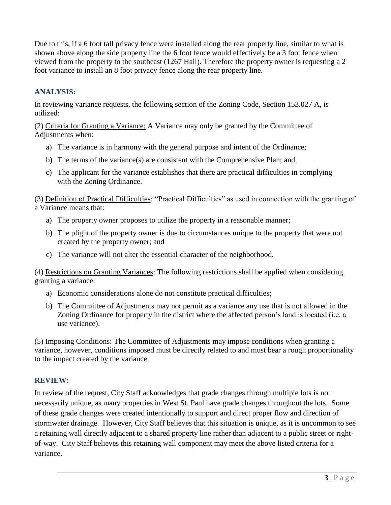Due to this, if a 6 foot tall privacy fence were installed along the rear property line, similar to what is shown above along the side property line the 6 foot fence would effectively be a 3 foot fence when viewed from the property to the southeast (1267 Hall). Therefore the property owner is requesting a 2 foot variance to install an 8 foot privacy fence along the rear property line.

### **ANALYSIS:**

In reviewing variance requests, the following section of the Zoning Code, Section 153.027 A, is utilized:

(2) Criteria for Granting a Variance: A Variance may only be granted by the Committee of Adjustments when:

- a) The variance is in harmony with the general purpose and intent of the Ordinance;
- b) The terms of the variance(s) are consistent with the Comprehensive Plan; and
- c) The applicant for the variance establishes that there are practical difficulties in complying with the Zoning Ordinance.

(3) Definition of Practical Difficulties: "Practical Difficulties" as used in connection with the granting of a Variance means that:

- a) The property owner proposes to utilize the property in a reasonable manner;
- b) The plight of the property owner is due to circumstances unique to the property that were not created by the property owner; and
- c) The variance will not alter the essential character of the neighborhood.

(4) Restrictions on Granting Variances: The following restrictions shall be applied when considering granting a variance:

- a) Economic considerations alone do not constitute practical difficulties;
- b) The Committee of Adjustments may not permit as a variance any use that is not allowed in the Zoning Ordinance for property in the district where the affected person's land is located (i.e. a use variance).

(5) Imposing Conditions: The Committee of Adjustments may impose conditions when granting a variance, however, conditions imposed must be directly related to and must bear a rough proportionality to the impact created by the variance.

## **REVIEW:**

In review of the request, City Staff acknowledges that grade changes through multiple lots is not necessarily unique, as many properties in West St. Paul have grade changes throughout the lots. Some of these grade changes were created intentionally to support and direct proper flow and direction of stormwater drainage. However, City Staff believes that this situation is unique, as it is uncommon to see a retaining wall directly adjacent to a shared property line rather than adjacent to a public street or rightof-way. City Staff believes this retaining wall component may meet the above listed criteria for a variance.